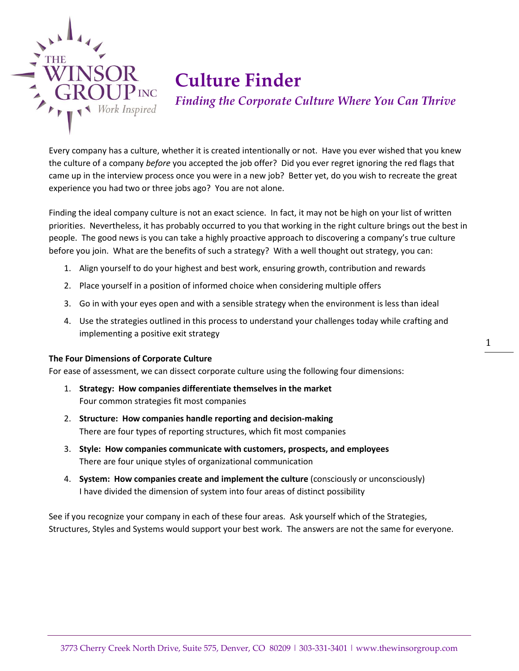

## **Culture Finder**

*Finding the Corporate Culture Where You Can Thrive*

Every company has a culture, whether it is created intentionally or not. Have you ever wished that you knew the culture of a company *before* you accepted the job offer? Did you ever regret ignoring the red flags that came up in the interview process once you were in a new job? Better yet, do you wish to recreate the great experience you had two or three jobs ago? You are not alone.

Finding the ideal company culture is not an exact science. In fact, it may not be high on your list of written priorities. Nevertheless, it has probably occurred to you that working in the right culture brings out the best in people. The good news is you can take a highly proactive approach to discovering a company's true culture before you join. What are the benefits of such a strategy? With a well thought out strategy, you can:

- 1. Align yourself to do your highest and best work, ensuring growth, contribution and rewards
- 2. Place yourself in a position of informed choice when considering multiple offers
- 3. Go in with your eyes open and with a sensible strategy when the environment is less than ideal
- 4. Use the strategies outlined in this process to understand your challenges today while crafting and implementing a positive exit strategy

## **The Four Dimensions of Corporate Culture**

For ease of assessment, we can dissect corporate culture using the following four dimensions:

- 1. **Strategy: How companies differentiate themselves in the market** Four common strategies fit most companies
- 2. **Structure: How companies handle reporting and decision-making** There are four types of reporting structures, which fit most companies
- 3. **Style: How companies communicate with customers, prospects, and employees** There are four unique styles of organizational communication
- 4. **System: How companies create and implement the culture** (consciously or unconsciously) I have divided the dimension of system into four areas of distinct possibility

See if you recognize your company in each of these four areas. Ask yourself which of the Strategies, Structures, Styles and Systems would support your best work. The answers are not the same for everyone. 1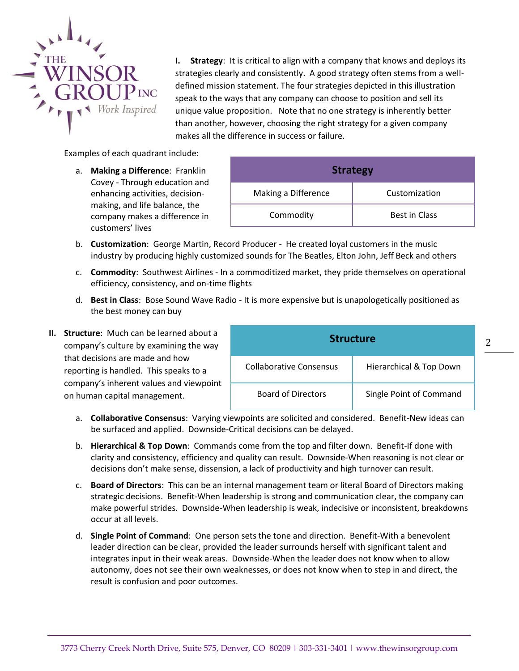

**I. Strategy**: It is critical to align with a company that knows and deploys its strategies clearly and consistently. A good strategy often stems from a welldefined mission statement. The four strategies depicted in this illustration speak to the ways that any company can choose to position and sell its unique value proposition. Note that no one strategy is inherently better than another, however, choosing the right strategy for a given company makes all the difference in success or failure.

Examples of each quadrant include:

a. **Making a Difference**: Franklin Covey - Through education and enhancing activities, decisionmaking, and life balance, the company makes a difference in customers' lives

| <b>Strategy</b>     |                      |  |
|---------------------|----------------------|--|
| Making a Difference | Customization        |  |
| Commodity           | <b>Best in Class</b> |  |

- b. **Customization**: George Martin, Record Producer He created loyal customers in the music industry by producing highly customized sounds for The Beatles, Elton John, Jeff Beck and others
- c. **Commodity**: Southwest Airlines In a commoditized market, they pride themselves on operational efficiency, consistency, and on-time flights
- d. **Best in Class**: Bose Sound Wave Radio It is more expensive but is unapologetically positioned as the best money can buy
- **II. Structure**: Much can be learned about a company's culture by examining the way that decisions are made and how reporting is handled. This speaks to a company's inherent values and viewpoint on human capital management.

| <b>Structure</b>          |                         |  |
|---------------------------|-------------------------|--|
| Collaborative Consensus   | Hierarchical & Top Down |  |
| <b>Board of Directors</b> | Single Point of Command |  |

2

- a. **Collaborative Consensus**: Varying viewpoints are solicited and considered. Benefit-New ideas can be surfaced and applied. Downside-Critical decisions can be delayed.
- b. **Hierarchical & Top Down**: Commands come from the top and filter down. Benefit-If done with clarity and consistency, efficiency and quality can result. Downside-When reasoning is not clear or decisions don't make sense, dissension, a lack of productivity and high turnover can result.
- c. **Board of Directors**: This can be an internal management team or literal Board of Directors making strategic decisions. Benefit-When leadership is strong and communication clear, the company can make powerful strides. Downside-When leadership is weak, indecisive or inconsistent, breakdowns occur at all levels.
- d. **Single Point of Command**: One person sets the tone and direction. Benefit-With a benevolent leader direction can be clear, provided the leader surrounds herself with significant talent and integrates input in their weak areas. Downside-When the leader does not know when to allow autonomy, does not see their own weaknesses, or does not know when to step in and direct, the result is confusion and poor outcomes.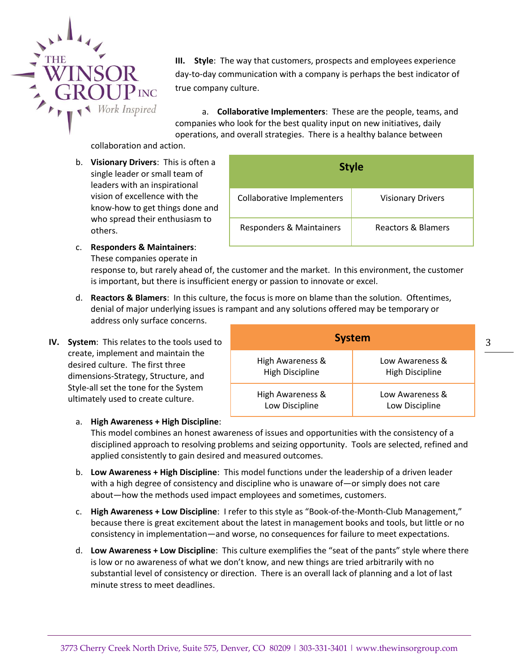

**III. Style**: The way that customers, prospects and employees experience day-to-day communication with a company is perhaps the best indicator of true company culture.

a. **Collaborative Implementers**: These are the people, teams, and companies who look for the best quality input on new initiatives, daily operations, and overall strategies. There is a healthy balance between

collaboration and action.

b. **Visionary Drivers**: This is often a single leader or small team of leaders with an inspirational vision of excellence with the know-how to get things done and who spread their enthusiasm to others.

| <b>Style</b>                      |                               |
|-----------------------------------|-------------------------------|
| <b>Collaborative Implementers</b> | <b>Visionary Drivers</b>      |
| Responders & Maintainers          | <b>Reactors &amp; Blamers</b> |

**System**

Low Awareness & High Discipline

Low Awareness & Low Discipline

c. **Responders & Maintainers**: These companies operate in

> response to, but rarely ahead of, the customer and the market. In this environment, the customer is important, but there is insufficient energy or passion to innovate or excel.

- d. **Reactors & Blamers**: In this culture, the focus is more on blame than the solution. Oftentimes, denial of major underlying issues is rampant and any solutions offered may be temporary or address only surface concerns.
- **IV. System**: This relates to the tools used to create, implement and maintain the desired culture. The first three dimensions-Strategy, Structure, and Style-all set the tone for the System ultimately used to create culture.
	- a. **High Awareness + High Discipline**:

This model combines an honest awareness of issues and opportunities with the consistency of a disciplined approach to resolving problems and seizing opportunity. Tools are selected, refined and applied consistently to gain desired and measured outcomes.

High Awareness & High Discipline

High Awareness & Low Discipline

- b. **Low Awareness + High Discipline**: This model functions under the leadership of a driven leader with a high degree of consistency and discipline who is unaware of—or simply does not care about—how the methods used impact employees and sometimes, customers.
- c. **High Awareness + Low Discipline**: I refer to this style as "Book-of-the-Month-Club Management," because there is great excitement about the latest in management books and tools, but little or no consistency in implementation—and worse, no consequences for failure to meet expectations.
- d. **Low Awareness + Low Discipline**: This culture exemplifies the "seat of the pants" style where there is low or no awareness of what we don't know, and new things are tried arbitrarily with no substantial level of consistency or direction. There is an overall lack of planning and a lot of last minute stress to meet deadlines.

3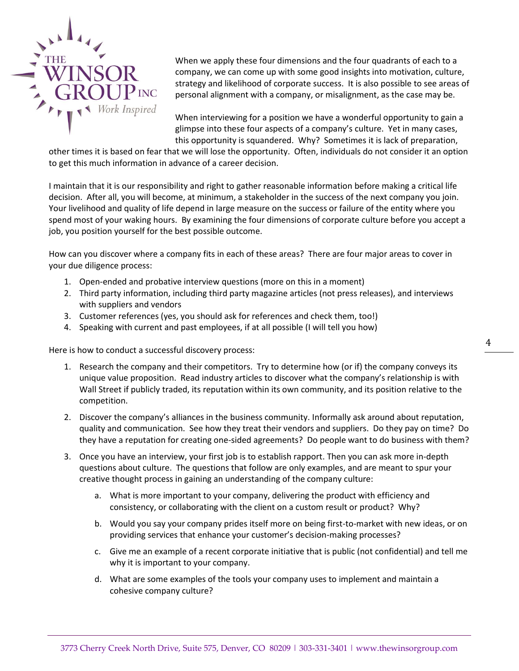

When we apply these four dimensions and the four quadrants of each to a company, we can come up with some good insights into motivation, culture, strategy and likelihood of corporate success. It is also possible to see areas of personal alignment with a company, or misalignment, as the case may be.

When interviewing for a position we have a wonderful opportunity to gain a glimpse into these four aspects of a company's culture. Yet in many cases, this opportunity is squandered. Why? Sometimes it is lack of preparation,

other times it is based on fear that we will lose the opportunity. Often, individuals do not consider it an option to get this much information in advance of a career decision.

I maintain that it is our responsibility and right to gather reasonable information before making a critical life decision. After all, you will become, at minimum, a stakeholder in the success of the next company you join. Your livelihood and quality of life depend in large measure on the success or failure of the entity where you spend most of your waking hours. By examining the four dimensions of corporate culture before you accept a job, you position yourself for the best possible outcome.

How can you discover where a company fits in each of these areas? There are four major areas to cover in your due diligence process:

- 1. Open-ended and probative interview questions (more on this in a moment)
- 2. Third party information, including third party magazine articles (not press releases), and interviews with suppliers and vendors
- 3. Customer references (yes, you should ask for references and check them, too!)
- 4. Speaking with current and past employees, if at all possible (I will tell you how)

Here is how to conduct a successful discovery process:

- 1. Research the company and their competitors. Try to determine how (or if) the company conveys its unique value proposition. Read industry articles to discover what the company's relationship is with Wall Street if publicly traded, its reputation within its own community, and its position relative to the competition.
- 2. Discover the company's alliances in the business community. Informally ask around about reputation, quality and communication. See how they treat their vendors and suppliers. Do they pay on time? Do they have a reputation for creating one-sided agreements? Do people want to do business with them?
- 3. Once you have an interview, your first job is to establish rapport. Then you can ask more in-depth questions about culture. The questions that follow are only examples, and are meant to spur your creative thought process in gaining an understanding of the company culture:
	- a. What is more important to your company, delivering the product with efficiency and consistency, or collaborating with the client on a custom result or product? Why?
	- b. Would you say your company prides itself more on being first-to-market with new ideas, or on providing services that enhance your customer's decision-making processes?
	- c. Give me an example of a recent corporate initiative that is public (not confidential) and tell me why it is important to your company.
	- d. What are some examples of the tools your company uses to implement and maintain a cohesive company culture?